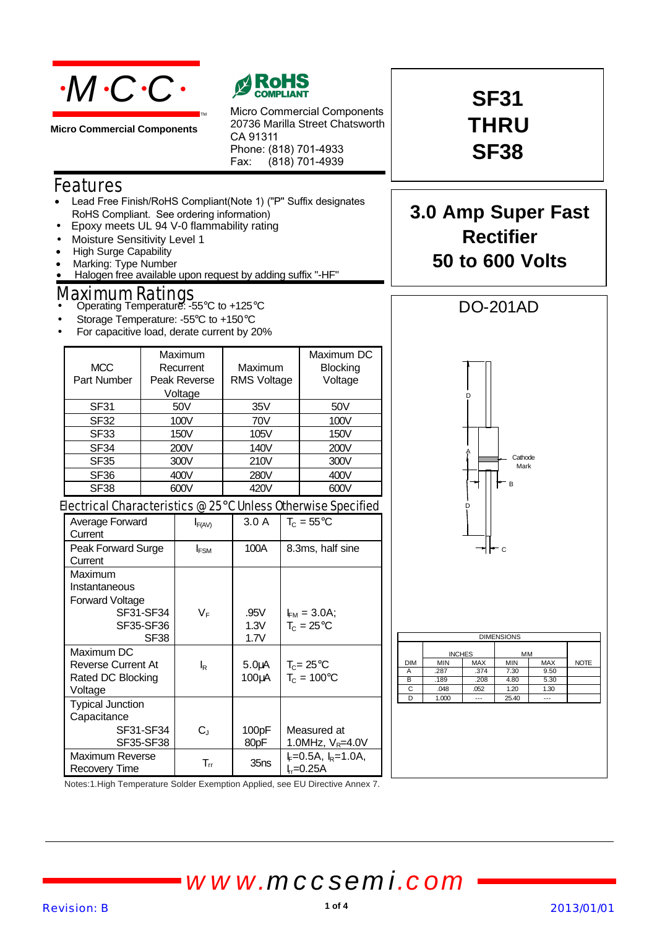

**Micro Commercial Components**



Micro Commercial Components 20736 Marilla Street Chatsworth CA 91311 Phone: (818) 701-4933 Fax: (818) 701-4939

### Features

• Lead Free Finish/RoHS Compliant(Note 1) ("P" Suffix designates RoHS Compliant. See ordering information)

TM

- Epoxy meets UL 94 V-0 flammability rating
- Moisture Sensitivity Level 1
- **High Surge Capability**
- Marking: Type Number
- Halogen free available upon request by adding suffix "-HF"

## Maximum Ratings • Operating Temperature: -55°C to +125°C

- 
- Storage Temperature: -55°C to +150°C
- For capacitive load, derate current by 20%

| <b>MCC</b><br>Part Number                                                            |      | Maximum<br>Recurrent<br>Peak Reverse<br>Voltage |                                                                  | Maximum<br><b>RMS Voltage</b> |                                       | Maximum DC<br>Blocking<br>Voltage    |  |
|--------------------------------------------------------------------------------------|------|-------------------------------------------------|------------------------------------------------------------------|-------------------------------|---------------------------------------|--------------------------------------|--|
| SF31                                                                                 | 50V  |                                                 |                                                                  | 35V                           |                                       | 50V                                  |  |
| SF <sub>32</sub>                                                                     |      | 100V                                            |                                                                  | 70V                           |                                       | 100V                                 |  |
| <b>SF33</b>                                                                          |      | 150V                                            |                                                                  | 105V                          |                                       | 150V                                 |  |
| <b>SF34</b>                                                                          |      | 200V                                            |                                                                  | 140V                          |                                       | 200V                                 |  |
| SF <sub>35</sub>                                                                     | 300V |                                                 |                                                                  | 210V                          |                                       | 300V                                 |  |
| <b>SF36</b>                                                                          |      | 400V                                            |                                                                  | 280V                          |                                       | 400V                                 |  |
| SF38                                                                                 |      | 600V                                            |                                                                  |                               |                                       | 600V                                 |  |
| Electrical Characteristics @ 25°C Unless Otherwise Specified                         |      |                                                 |                                                                  |                               |                                       |                                      |  |
| Average Forward<br>Current                                                           |      | $I_{F(AV)}$                                     |                                                                  | 3.0A                          | $T_c = 55^{\circ}$ C                  |                                      |  |
| Peak Forward Surge<br>Current                                                        |      | $I_{FSM}$                                       |                                                                  | 100A                          | 8.3ms, half sine                      |                                      |  |
| Maximum<br>Instantaneous<br>Forward Voltage<br>SF31-SF34<br>SF35-SF36<br><b>SF38</b> |      | $V_F$                                           | .95V<br>$I_{FM} = 3.0A;$<br>1.3V<br>$T_c = 25^{\circ}$ C<br>1.7V |                               |                                       |                                      |  |
| Maximum DC<br><b>Reverse Current At</b><br>Rated DC Blocking<br>Voltage              |      | $\mathsf{I}_{\mathsf{R}}$                       |                                                                  | 5.0 <sub>U</sub> A<br>100µA   | $T_c = 25^{\circ}C$<br>$T_c = 100$ °C |                                      |  |
| <b>Typical Junction</b><br>Capacitance<br>SF31-SF34<br>SF35-SF38                     |      | $C_{J}$                                         |                                                                  | 100pF<br>80pF                 |                                       | Measured at<br>1.0MHz, $V_R = 4.0V$  |  |
| Maximum Reverse<br><b>Recovery Time</b>                                              |      | $T_{rr}$                                        |                                                                  | 35ns                          |                                       | $k = 0.5A$ , $l_R = 1.0A$<br>ե-0.25A |  |



Notes:1.High Temperature Solder Exemption Applied, see EU Directive Annex 7.

# *www.mccsemi.com*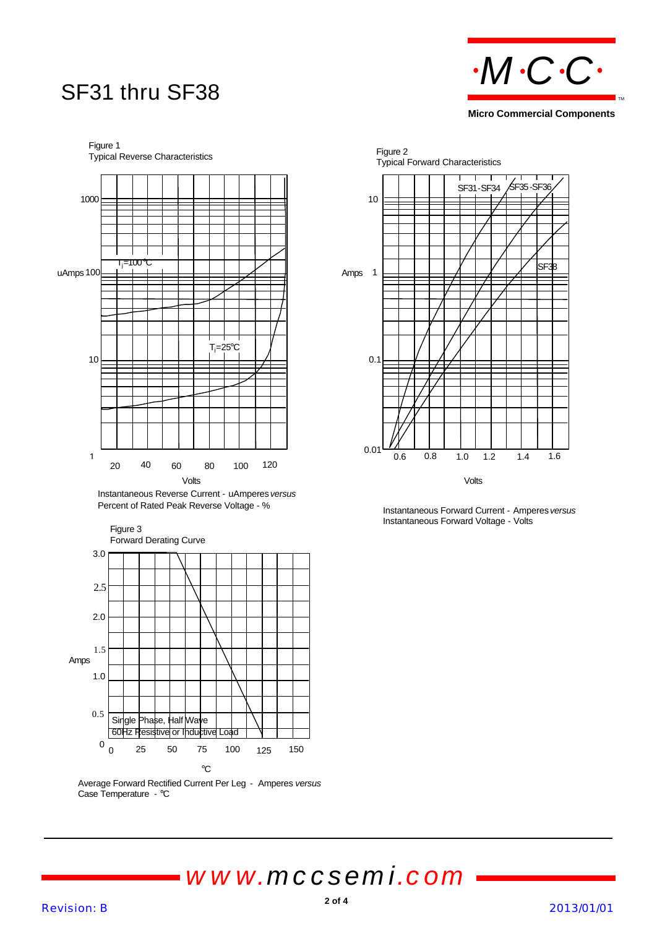



Figure 3 Forward Derating Curve  $^{0}$  ()  $^{25}$  50 75 100 125 150 0.5 1.0 1.5 Single Phase, Half Wave 60Hz Resistive or Inductive Load Amps  $^{\circ}\mathrm{C}$ 125 2.0 2.5 3.0

Average Forward Rectified Current Per Leg - Amperes *versus* Case Temperature - °C



Instantaneous Forward Current - Amperes *versus* Instantaneous Forward Voltage - Volts

*www.mccsemi.com*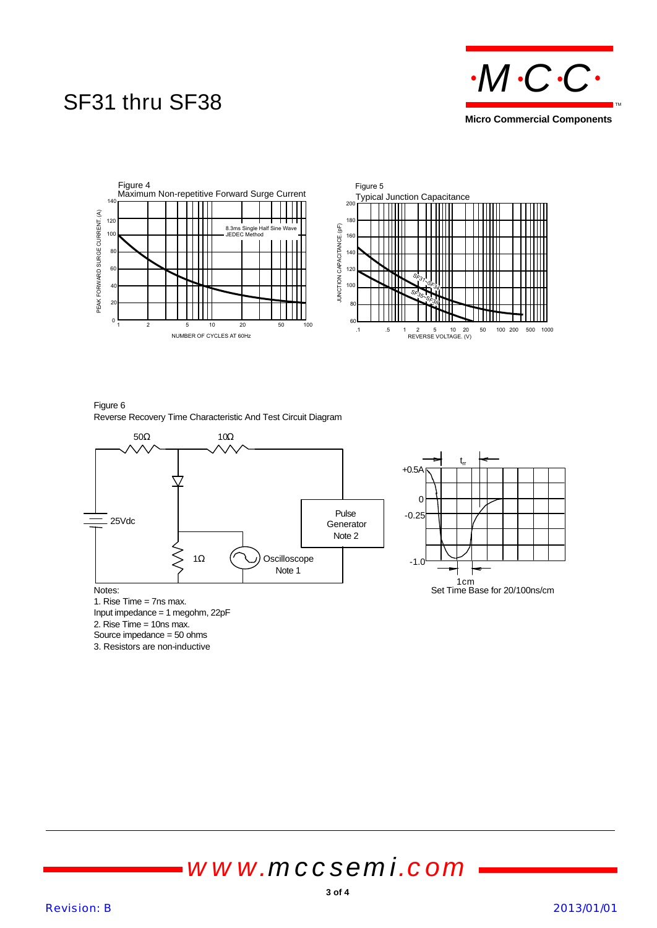### SF31 thru SF38





Figure 6 Reverse Recovery Time Characteristic And Test Circuit Diagram



1. Rise Time = 7ns max. Input impedance = 1 megohm, 22pF

2. Rise Time = 10ns max.

Source impedance = 50 ohms

3. Resistors are non-inductive

# *www.mccsemi.com*